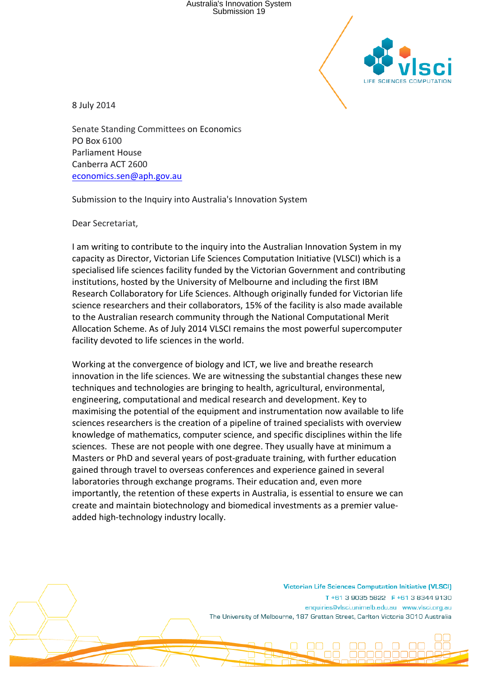Australia's Innovation System Submission 19



8 July 2014

Senate Standing Committees on Economics PO Box 6100 Parliament House Canberra ACT 2600 economics.sen@aph.gov.au

Submission to the Inquiry into Australia's Innovation System

Dear Secretariat,

I am writing to contribute to the inquiry into the Australian Innovation System in my capacity as Director, Victorian Life Sciences Computation Initiative (VLSCI) which is a specialised life sciences facility funded by the Victorian Government and contributing institutions, hosted by the University of Melbourne and including the first IBM Research Collaboratory for Life Sciences. Although originally funded for Victorian life science researchers and their collaborators, 15% of the facility is also made available to the Australian research community through the National Computational Merit Allocation Scheme. As of July 2014 VLSCI remains the most powerful supercomputer facility devoted to life sciences in the world.

Working at the convergence of biology and ICT, we live and breathe research innovation in the life sciences. We are witnessing the substantial changes these new techniques and technologies are bringing to health, agricultural, environmental, engineering, computational and medical research and development. Key to maximising the potential of the equipment and instrumentation now available to life sciences researchers is the creation of a pipeline of trained specialists with overview knowledge of mathematics, computer science, and specific disciplines within the life sciences. These are not people with one degree. They usually have at minimum a Masters or PhD and several years of post-graduate training, with further education gained through travel to overseas conferences and experience gained in several laboratories through exchange programs. Their education and, even more importantly, the retention of these experts in Australia, is essential to ensure we can create and maintain biotechnology and biomedical investments as a premier valueadded high-technology industry locally.

> **Victorian Life Sciences Computation Initiative (VLSCI)** T+61 3 9035 5822 F+61 3 8344 9130 enquiries@vlsci.unimelb.edu.au www.vlsci.org.au The University of Melbourne, 187 Grattan Street, Carlton Victoria 3010 Australia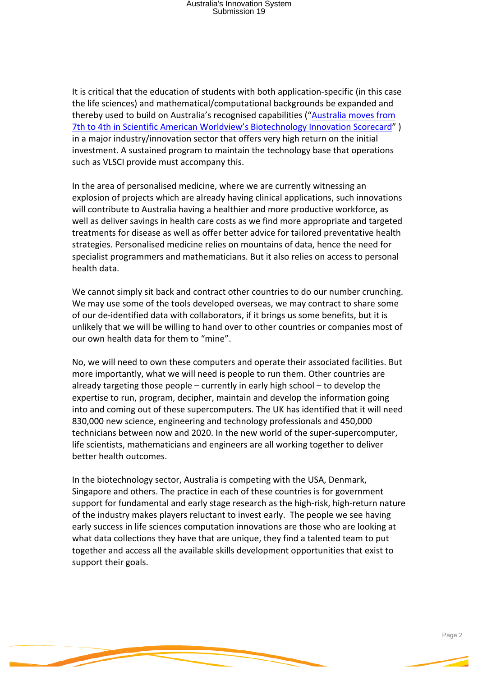It is critical that the education of students with both application-specific (in this case the life sciences) and mathematical/computational backgrounds be expanded and thereby used to build on Australia's recognised capabilities ("Australia moves from 7th to 4th in Scientific American Worldview's Biotechnology Innovation Scorecard" ) in a major industry/innovation sector that offers very high return on the initial investment. A sustained program to maintain the technology base that operations such as VLSCI provide must accompany this.

In the area of personalised medicine, where we are currently witnessing an explosion of projects which are already having clinical applications, such innovations will contribute to Australia having a healthier and more productive workforce, as well as deliver savings in health care costs as we find more appropriate and targeted treatments for disease as well as offer better advice for tailored preventative health strategies. Personalised medicine relies on mountains of data, hence the need for specialist programmers and mathematicians. But it also relies on access to personal health data.

We cannot simply sit back and contract other countries to do our number crunching. We may use some of the tools developed overseas, we may contract to share some of our de-identified data with collaborators, if it brings us some benefits, but it is unlikely that we will be willing to hand over to other countries or companies most of our own health data for them to "mine".

No, we will need to own these computers and operate their associated facilities. But more importantly, what we will need is people to run them. Other countries are already targeting those people  $-$  currently in early high school  $-$  to develop the expertise to run, program, decipher, maintain and develop the information going into and coming out of these supercomputers. The UK has identified that it will need 830,000 new science, engineering and technology professionals and 450,000 technicians between now and 2020. In the new world of the super-supercomputer, life scientists, mathematicians and engineers are all working together to deliver better health outcomes.

In the biotechnology sector, Australia is competing with the USA, Denmark, Singapore and others. The practice in each of these countries is for government support for fundamental and early stage research as the high-risk, high-return nature of the industry makes players reluctant to invest early. The people we see having early success in life sciences computation innovations are those who are looking at what data collections they have that are unique, they find a talented team to put together and access all the available skills development opportunities that exist to support their goals.